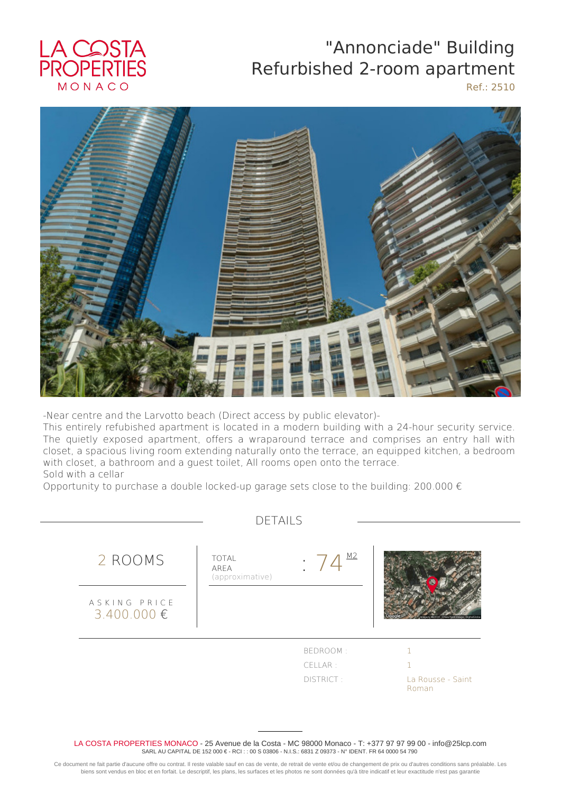## LA COSTA<br>PROPERTIES MONACO

## "Annonciade" Building Refurbished 2-room apartment

Ref.: 2510



-Near centre and the Larvotto beach (Direct access by public elevator)-

This entirely refubished apartment is located in a modern building with a 24-hour security service. The quietly exposed apartment, offers a wraparound terrace and comprises an entry hall with closet, a spacious living room extending naturally onto the terrace, an equipped kitchen, a bedroom with closet, a bathroom and a guest toilet, All rooms open onto the terrace. Sold with a cellar

Opportunity to purchase a double locked-up garage sets close to the building: 200.000  $\epsilon$ 

|                                 | <b>DETAILS</b>                          |                                  |                            |
|---------------------------------|-----------------------------------------|----------------------------------|----------------------------|
| 2 ROOMS                         | <b>TOTAL</b><br>AREA<br>(approximative) | M <sub>2</sub><br><b>College</b> |                            |
| ASKING PRICE<br>$3.400.000 \in$ |                                         |                                  |                            |
|                                 |                                         | BEDROOM:                         |                            |
|                                 |                                         | CELLAR:                          |                            |
|                                 |                                         | DISTRICT:                        | La Rousse - Saint<br>Roman |

LA COSTA PROPERTIES MONACO - 25 Avenue de la Costa - MC 98000 Monaco - T: +377 97 97 99 00 - info@25lcp.com SARL AU CAPITAL DE 152 000 € - RCI : : 00 S 03806 - N.I.S.: 6831 Z 09373 - N° IDENT. FR 64 0000 54 790